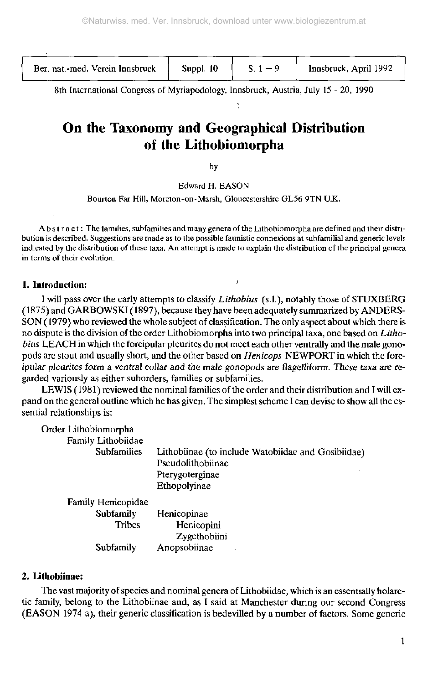Ber. nat.-med. Verein Innsbruck  $\begin{bmatrix} \text{Suppl. 10} \\ \text{Suppl. 10} \end{bmatrix}$  S. 1 - 9  $\begin{bmatrix} \text{Innsbruck. April 1992} \\ \text{Suppl. 10} \end{bmatrix}$ 

8th International Congress of Myriapodology, Innsbruck, Austria, July 15 - 20, 1990

# On the Taxonomy and Geographical Distribution of the Lithobiomorpha

by

Edward H. EASON

Bourton Far Hill, Moreton-on-Marsh, Gloucestershire GL56 9TN U.K.

Abstract : The families, subfamilies and many genera of the Lithobiomorpha are defined and their distribution is described. Suggestions are made as to the possible faunistic connexions at subfamilial and generic levels indicated by the distribution of these taxa. An attempt is made to explain the distribution of the principal genera in terms of their evolution.

# **1. Introduction:** '

**I** will pass over the early attempts to classify *Lithobius* (s.l.), notably those of STUXBERG ( 1875) and GARBOWSKI (1897), because they have been adequately summarized by ANDERS-SON (1979) who reviewed the whole subject of classification. The only aspect about which there is no dispute is the division of the order Lithobiomorpha into two principal taxa, one based on *Lithobius* LEACH in which the forcipular pleurites do not meet each other ventrally and the male gonopods are stout and usually short, and the other based on *Henicops* NEWPORT in which the forcipular pleurites form a *ventral* collar and the male *gonopods* are flagelliforrn. These *taxa* are regarded variously as either suborders, families or subfamilies.

LEWIS (1981) reviewed the nominal families of the order and their distribution and I will expand on the general outline which he has given. The simplest scheme I can devise to show all the essential relationships is:

| Order Lithobiomorpha |                                                    |
|----------------------|----------------------------------------------------|
| Family Lithobiidae   |                                                    |
| <b>Subfamilies</b>   | Lithobiinae (to include Watobiidae and Gosibiidae) |
|                      | Pseudolithobiinae                                  |
|                      | Pterygoterginae                                    |
|                      | Ethopolyinae                                       |
| Family Henicopidae   |                                                    |
| Subfamily            | Henicopinae                                        |
| <b>Tribes</b>        | Henicopini                                         |
|                      | Zygethobiini                                       |
| Subfamily            | Anopsobiinae                                       |

#### **2. Lithobiinae:**

The vast majority of species and nominal genera of Lithobiidae, which is an essentially holarctic family, belong to the Lithobiinae and, as I said at Manchester during our second Congress (EASON 1974 a), their generic classification is bedevilled by a number of factors. Some generic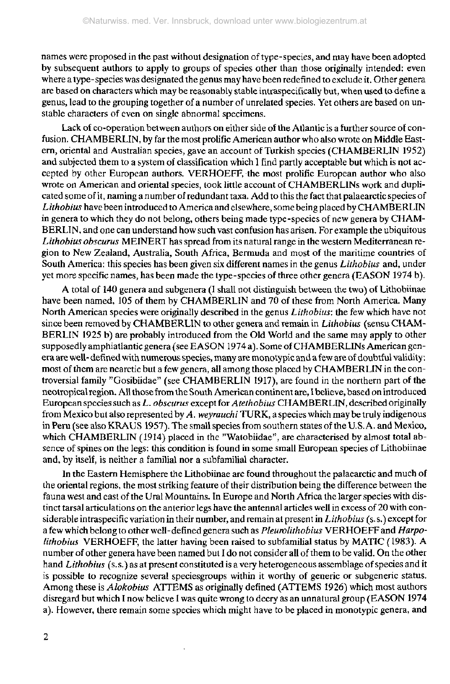names were proposed in the past without designation of type-species, and may have been adopted by subsequent authors to apply to groups of species other than those originally intended: even where a type-species was designated the genus may have been redefined to exclude it. Other genera are based on characters which may be reasonably stable intraspecifically but, when used to define a genus, lead to the grouping together of a number of unrelated species. Yet others are based on unstable characters of even on single abnormal specimens.

Lack of co-operation between authors on either side of the Atlantic is a further source of confusion. CHAMBERLIN, by far the most prolific American author who also wrote on Middle Eastern, oriental and Australian species, gave an account of Turkish species (CHAMBERLIN 1952) and subjected them to a system of classification which 1 find partly acceptable but which is not accepted by other European authors. VERHOEFF, the most prolific European author who also wrote on American and oriental species, took little account of CHAMBERLINs work and duplicated some of it, naming a number of redundant taxa. Add to this the fact that palaearctic species of *Lithobius* have been introduced to America and elsewhere, some being placed by CHAMBERLIN in genera to which they do not belong, others being made type-species of new genera by CHAM-BERLIN, and one can understand how such vast confusion has arisen. For example the ubiquitous *Lithobius obscurus* MEINERT has spread from its natural range in the western Mediterranean region to New Zealand, Australia, South Africa, Bermuda and most of the maritime countries of South America: this species has been given six different names in the genus *Lithobius* and, under yet more specific names, has been made the type-species of three other genera (EASON 1974 b).

A total of 140 genera and subgenera (I shall not distinguish between the two) of Lithobiinae have been named, 105 of them by CHAMBERLIN and 70 of these from North America. Many North American species were originally described in the genus *Lithobius:* the few which have not since been removed by CHAMBERLIN to other genera and remain in *Lithobius* (sensu CHAM-BERLIN 1925 b) are probably introduced from the Old World and the same may apply to other supposedly amphiatlantic genera (see EASON 1974 a). Some of CHAMBERLINs American genera are well-defined with numerous species, many are monotypic and a few are of doubtful validity: most of them are nearctic but a few genera, all among those placed by CHAMBERLIN in the controversial family "Gosibiidae" (see CHAMBERLIN 1917), are found in the northern part of the neotropical region. All those from the South American continent are, I believe, based on introduced European species such as *L. obscurus* except for *Atethobius* CHAMBERLIN, described originally from Mexico but also represented by *A. weyrauchi* TURK, a species which may be truly indigenous in Peru (see also KRAUS 1957). The small species from southern states of the U.S.A. and Mexico, which CHAMBERLIN (1914) placed in the "Watobiidae", are characterised by almost total absence of spines on the legs: this condition is found in some small European species of Lithobiinae and, by itself, is neither a familial nor a subfamilial character.

In the Eastern Hemisphere the Lithobiinae are found throughout the palaearctic and much of the oriental regions, the most striking feature of their distribution being the difference between the fauna west and east of the Ural Mountains. In Europe and North Africa the larger species with distinct tarsal articulations on the anterior legs have the antennal articles well in excess of 20 with considerable intraspecific variation in their number, and remain at present in *Lithobius* (s.s.) except for a few which belong to other well-defined genera such as *Pleurolithobius* VERHOEFF and *Harpolithobius* VERHOEFF, the latter having been raised to subfamilial status by MATIC (1983). A number of other genera have been named but I do not consider all of them to be valid. On the other hand *Lithobius* (s. s.) as at present constituted is a very heterogeneous assemblage of species and it is possible to recognize several speciesgroups within it worthy of generic or subgeneric status. Among these is *Alokobius* ATTEMS as originally defined (ATTEMS 1926) which most authors disregard but which I now believe I was quite wrong to decry as an unnatural group (EASON 1974 a). However, there remain some species which might have to be placed in monotypic genera, and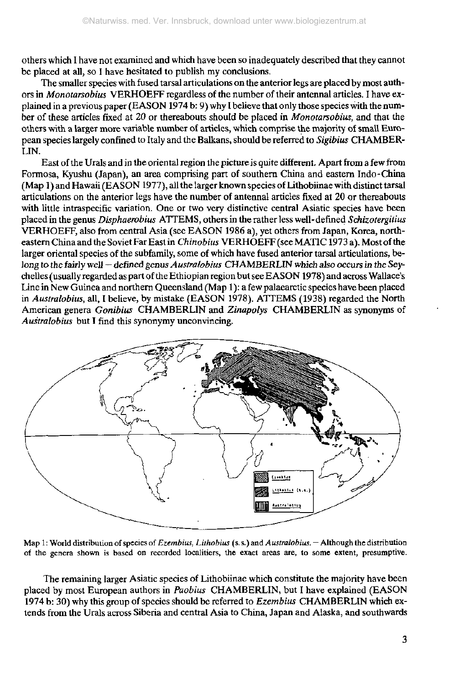others which I have not examined and which have been so inadequately described that they cannot be placed at all, so I have hesitated to publish my conclusions.

The smaller species with fused tarsal articulations on the anterior legs are placed by most authors in *Monotarsobius* VERHOEFF regardless of the number of their antennal articles. I have explained in a previous paper (EASON 1974 b: 9) why I believe that only those species with the number of these articles fixed at 20 or thereabouts should be placed in *Monotarsobius,* and that the others with a larger more variable number of articles, which comprise the majority of small European species largely confined to Italy and the Balkans, should be referred to *Sigibius* CHAMBER- $\tilde{L}$ IN.

East of the Urals and in the oriental region the picture is quite different. Apart from a few from Formosa, Kyushu (Japan), an area comprising part of southern China and eastern Indo-China (Map 1 ) and Hawaii (EASON 1977), all the larger known species of Lithobiinae with distinct tarsal articulations on the anterior legs have the number of antennal articles fixed at 20 or thereabouts with little intraspecific variation. One or two very distinctive central Asiatic species have been placed in the genus *Disphaerobius* ATTEMS, others in the rather less well-defined *Schizotergitius* VERHOEFF, also from central Asia (see EASON 1986 a), yet others from Japan, Korea, northeastern China and the Soviet Far East in *Chinobius* VERHOEFF (see MATIC1973 a). Most of the larger oriental species of the subfamily, some of which have fused anterior tarsal articulations, belong to the fairly well — defined genus *Australobius* CHAMBERLIN which also *occurs in the* Seychelles (usually regarded as part of the Ethiopian region but see EASON 1978) and across Wallace's Line in New Guinea and northern Queensland (Map 1 ): a few palaearctic species have been placed in *Australobius,* all, I believe, by mistake (EASON 1978). ATTEMS (1938) regarded the North American genera *Gonibius* CHAMBERLIN and *Zinapolys* CHAMBERLIN as synonyms of *Australobius* but I find this synonymy unconvincing.



Map 1: World distribution of species of *Ezembius, Lithobius* (s.s.) and *Australobius.* - Although the distribution of the genera shown is based on recorded localitiers, the exact areas are, to some extent, presumptive.

The remaining larger Asiatic species of Lithobiinae which constitute the majority have been placed by most European authors in *Paobius* CHAMBERLIN, but I have explained (EASON 1974 b: 30) why this group of species should be referred to *Ezembius* CHAMBERLIN which extends from the Urals across Siberia and central Asia to China, Japan and Alaska, and southwards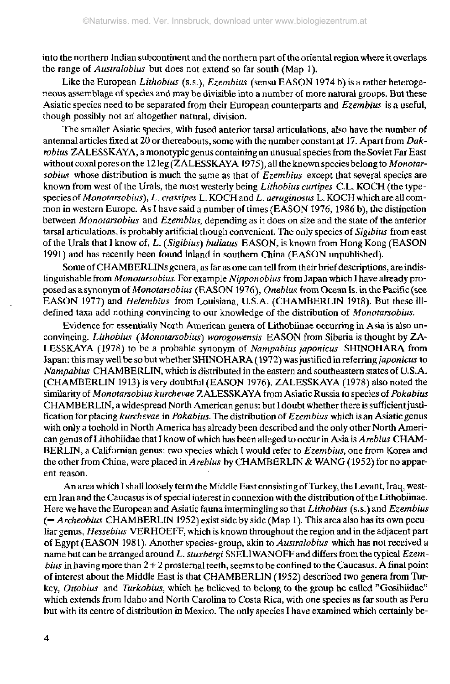into the northern Indian subcontinent and the northern part of the oriental region where it overlaps the range of *Australobius* but does not extend so far south (Map 1).

Like the European *Lithobius* (s.s.), *Ezembius* (sensu EASON 1974 b) is a rather heterogeneous assemblage of species and may be divisible into a number of more natural groups. But these Asiatic species need to be separated from their European counterparts and *Ezembius* is a useful, though possibly not an altogether natural, division.

The smaller Asiatic species, with fused anterior tarsal articulations, also have the number of antennal articles fixed at 20 or thereabouts, some with the number constant at 17. Apart from *Dakrobius* ZALESSKAYA, a monotypic genus containing an unusual species from the Soviet Far East without coxal pores on the 12 leg (ZALESSKAYA 1975), all the known species belong to *Monoiarsobius* whose distribution is much the same as that of *Ezembius* except that several species are known from west of the Urals, the most westerly being *Lithobius curtipes* C.L. KOCH (the typespecies of *Monotarsobius), L. crassipes* L. KOCH and *L. aeruginosus* L. KOCH which are all common in western Europe. As I have said a number of times (EASON 1976, 1986 b), the distinction between *Monotarsobius* and *Ezembius,* depending as it does on size and the state of the anterior tarsal articulations, is probably artificial though convenient. The only species of *Sigibius* from east of the Urals that I know of, *L, (Sigibius) bullatus* EASON, is known from Hong Kong (EASON 1991) and has recently been found inland in southern China (EASON unpublished).

Some of CH AMBERLINs genera, as far as one can tell from their brief descriptions, are indistinguishable from *Monotarsobius.* For example *Nipponobius* from Japan which I have already proposed as a synonym of *Monotarsobius* (EASON 1976), *Onebius* from Ocean Is. in the Pacific (see EASON 1977) and *Helembius* from Louisiana, U.S.A. (CHAMBERLIN 1918). But these illdefined taxa add nothing convincing to our knowledge of the distribution of *Monotarsobius.*

Evidence for essentially North American genera of Lithobiinae occurring in Asia is also unconvincing. *Lithobius (Monotarsobius) worogowensis* EASON from Siberia is thought by ZA-LESSKAYA (1978) to be a probable synonym of *Nampabius japonicus* SHINOHARA from Japan: this may well be so but whether SHINOHARA ( 1972) was justified in *referring japonicus* to *Nampabius* CHAMBERLIN, which is distributed in the eastern and southeastern states of U.S.A. (CHAMBERLIN 1913) is very doubtful (EASON 1976). ZALESSKAYA (1978) also noted the similarity of *Monotarsobius kurchevae* ZALESSKAYA from Asiatic Russia to species of *Pokabius* CHAMBERLIN, a widespread North American genus: but I doubt whether there is sufficient justification for placing *kurchevae* in *Pokabius.* The distribution of *Ezembius* which is an Asiatic genus with only a toehold in North America has already been described and the only other North American genus of Lithobiidae that I know of which has been alleged to occur in Asia is *Arebius* CHAM-BERLIN, a Californian genus: two species which I would refer to *Ezembius,* one from Korea and the other from China, were placed in *Arebius* by CHAMBERLIN & WANG (1952) for no apparent reason.

An area which I shall loosely term the Middle East consisting of Turkey, the Levant, Iraq, western Iran and the Caucasus is of special interest in connexion with the distribution of the Lithobiinae. Here we have the European and Asiatic fauna intermingling so that *Lithobius* (s.s.) and *Ezembius* (= *Archeobius* CHAMBERLIN 1952) exist side by side (Map 1). This area also has its own peculiar genus, *Hessebius* VERHOEFF, which is known throughout the region and in the adjacent part of Egypt (EASON 1981). Another species-group, akin to *Australobius* which has not received a name but can be arranged around *L. stuxbergi* SSELIWANOFF and differs from, the typical *Ezembius* in having more than 2+2 prosternai teeth, seems to be confined to the Caucasus. A final point of interest about the Middle East is that CHAMBERLIN (1952) described two genera from Turkey, *Ottobius* and *Turkobius,* which he believed to belong to the group he called "Gosibiidae" which extends from Idaho and North Carolina to Costa Rica, with one species as far south as Peru but with its centre of distribution in Mexico. The only species I have examined which certainly be-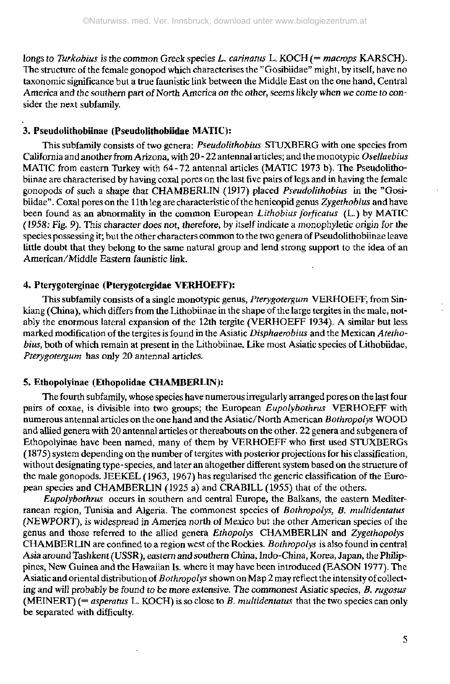longs to Turkobius is the common Greek species *L. carinatus* L. KOCH (= macrops KARSCH). The structure of the female gonopod which characterises the "Gosibiidae" might, by itself, have no taxonomic significance but a true faunistic link between the Middle East on the one hand, Central America and the southern part of North America on the other, seems likely when we come to consider the next subfamily.

## **3. Pseudolithobiinae (Pseudolithobiidae MATIC):**

This subfamily consists of two genera: *Pseudolithobius* STUXBERG with one species from California and another from Arizona, with 20 - 22 antennal articles; and the monotypic *Osellaebius* MATIC from eastern Turkey with 64-72 antennal articles (MATIC 1973 b). The Pseudolithobiinae are characterised by having coxal pores on the last five pairs of legs and in having the female gonopods of such a shape that CHAMBERLIN (1917) placed *Pseudolithobius* in the "Gosibiidae" . Coxal pores on the 1 lth leg are characteristic of the henicopid genus *Zygethobius* and have been found as an abnormality in the common European *Lithobius forficatus* (L.) by MATIC ( 1958: Fig. 9). This character does not, (herefore, by itself indicate a monophyletic origin for the species possessing it; but the other characters common to the two genera of Pseudolithobiinae leave little doubt that they belong to the same natural group and lend strong support to the idea of an American/Middle Eastern faunistic link.

## **4. Pterygoterginae (Pterygotergidae VERHOEFF):**

This subfamily consists of a single monotypic genus, *Pterygotergum* VERHOEFF, from Sinkiang (China), which differs from the Lithobiinae in the shape of the large tergites in the male, notably the enormous lateral expansion of the 12th tergite (VERHOEFF 1934). A similar but less marked modification of the tergites is found in the Asiatic *Disphaerobius* and the Mexican *Atethobius,* both of which remain at present in the Lithobiinae. Like most Asiatic species of Lithobiidae, *Pterygotergum* has only 20 antennal articles.

# **5. Ethopolyinae (Ethopolidae CHAMBERLIN):**

The fourth subfamily, whose species have numerous irregularly arranged pores on the last four pairs of coxae, is divisible into two groups; the European *Eupolybothrus* VERHOEFF with numerous antennal articles on the one hand and the Asiatic/North American *Bothropolys* WOOD and allied genera with 20 antennal articles or thereabouts on the other. 22 genera and subgenera of Ethopolyinae have been named, many of them by VERHOEFF who first used STUXBERGs (1875) system depending on the number of tergites with posterior projections for his classification, without designating type-species, and later an altogether different system based on the structure of the male gonopods. JEEKEL (1963, 1967) has regularised the generic classification of the European species and CHAMBERLIN (1925 a) and CRABILL (1955) that of the others.

*Eupolybothrus* occurs in southern and central Europe, the Balkans, the eastern Mediterranean region, Tunisia and Algeria. The commonest species of *Bothropolys, B. multidentatus* (NEWPORT), is widespread in America north of Mexico but the other American species of the genus and those referred to the allied genera *Ethopolys* CHAMBERLIN and *Zygethopolys* CHAMBERLIN are confined to a region west of the Rockies. *Bothropolys* is also found in central Asia around Tashkent (USSR), eastern and southern China, Indo-China, Korea, Japan, the Philippines, New Guinea and the Hawaiian Is. where it may have been introduced (EASON 1977). The Asiatic and oriental distribution of *Bothropolys* shown on Map 2 may reflect the intensity of collecting and will probably be found to be more extensive. The *commonest* Asiatic species, *B. rugosus* (MEINERT) (= *asperatus* L. KOCH) is so close to *B. multidentatus* that the two species can only be separated with difficulty.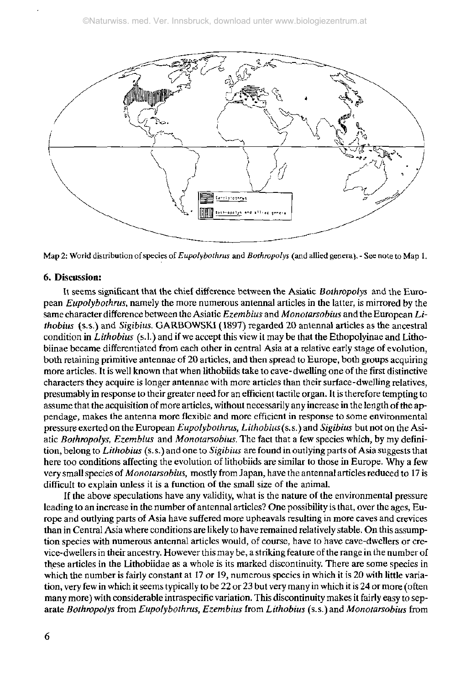

Map 2: World distribution of species of *Eupolybothms* and *Bothropolys* (and allied genera). - See note to Map 1.

#### 6. Discussion:

It seems significant that the chief difference between the Asiatic *Bothropolys* and the European *Eupolybothrus,* namely the more numerous antennal articles in the latter, is mirrored by the same character difference between the Asiatic *Ezembius* and *Monotarsobius* and the European *Lithobius* (s.s.) and *Sigibius.* GARBOWSKI (1897) regarded 20 antennal articles as the ancestral condition in *Lithobius* (s.l.) and if we accept this view it may be that the Ethopolyinae and Lithobiinae became differentiated from each other in central Asia at a relative early stage of evolution, both retaining primitive antennae of 20 articles, and then spread to Europe, both groups acquiring more articles. It is well known that when lithobiids take to cave-dwelling one of the first distinctive characters they acquire is longer antennae with more anieles than their surface-dwelling relatives, presumably in response to their greater need ior an efficient tactile organ. It is therefore tempting to assume that the acquisition of more articles, without necessarily any increase in the length of the appendage, makes the antenna more flexible and more efficient in response to some environmental pressure exerted on the European *Eupolybothrus, Lithobius* (s. s.) and *Sigibius* but not on the Asiatic *Bothropolys, Ezembius* and *Monotarsobius.* The fact that a few species which, by my definition, belong to *Lithobius* (s. s.) and one to *Sigibius* are found in outlying parts of Asia suggests that here too conditions affecting the evolution of lithobiids are similar to those in Europe. Why a few very small species of *Monotarsobius,* mostly from Japan, have the antennal articles reduced to 17 is difficult to explain unless it is a function of the small size of the animal.

If the above speculations have any validity, what is the nature of the environmental pressure leading to an increase in the number of antennal articles? One possibility is that, over the ages, Europe and outlying parts of Asia have suffered more upheavals resulting in more caves and crevices than in Central Asia where conditions are likely to have remained relatively stable. On this assumption species with numerous antennal articles would, of course, have to have cave-dwellers or crevice-dwellers in their ancestry. However this may be, a striking feature of the range in the number of these articles in the Lithobiidae as a whole is its marked discontinuity. There are some species in which the number is fairly constant at 17 or 19, numerous species in which it is 20 with little variation, very few in which it seems typically to be 22 or 23 but very many in which it is 24 or more (often many more) with considerable intraspecific variation. This discontinuity makes it fairly easy to separate *Bothropolys* from *Eupolybothrus, Ezembius* from *Lithobius* (s.s.) and *Monotarsobius* from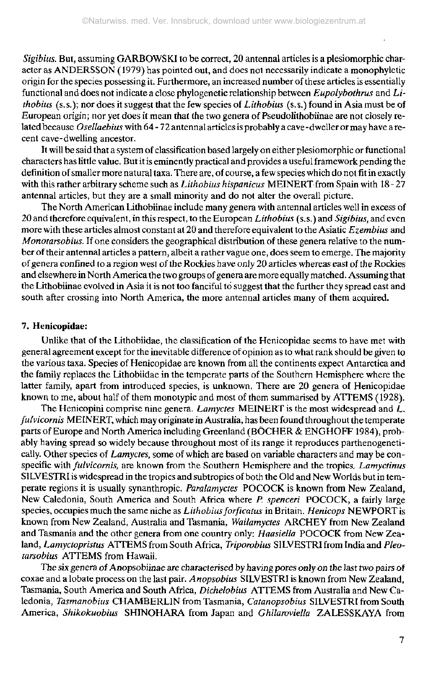*Sigibius.* But, assuming GARBOWSKJ to be correct, 20 antennal articles is a plesiomorphic character as ANDERSSON ( 1979) has pointed out, and does not necessarily indicate a monophyletìc origin for the species possessing it. Furthermore, an increased number of these articles is essentially functional and does not indicate a close phylogenetic relationship between *Eupolybothnts* and *Lithobius* (s.S.); nor does it suggest that the few species of *Lithobius* (s. s.) found in Asia must be of European origin; nor yet does it mean that the two genera of Pseudolithobiinae are not closely related because *Osellaebius* with 64-72 antennal articles is probably a cave-dweller or may have a recent cave-dwelling ancestor.

It will be said that a system of classification based largely on either plesiomorphic or functional characters has little value. But it is eminently practical and provides a useful framework pending the definition of smaller more natural taxa. There are, of course, a few species which do not fit in exactly with this rather arbitrary scheme such as *Lithobius hispanicus* MEINERT from Spain with 18 - 27 antennal articles, but they are a small minority and do not alter the overall picture.

The North American Lithobiinae include many genera with antennal articles well in excess of 20 and therefore equivalent, in this respect, to the European *Lithobius* (s.s.) and *Sigibius,* and even more with these articles almost constant at 20 and therefore equivalent to the Asiatic *Ezembius* and *Monotarsobius.* If one considers the geographical distribution of these genera relative to the number of their antennal articles a pattern, albeit a rather vague one, does seem to emerge. The majority of genera confined to a region west of the Rockies have only 20 articles whereas east of the Rockies and elsewhere in North America the two groups of genera are more equally matched. Assuming that the Lithobiinae evolved in Asia it is not too fanciful to suggest that the further they spread east and south after crossing into North America, the more antennal articles many of them acquired.

#### 7. Henicopidae:

Unlike that of the Lithobiidae, the classification of the Henicopidae seems to have met with general agreement except for the inevitable difference of opinion as to what rank should be given to the various taxa. Species of Henicopidae are known from all the continents expect Antarctica and the family replaces the Lithobiidae in the temperate parts of the Southern Hemisphere where the latter family, apart from introduced species, is unknown. There are 20 genera of Henicopidae known to me, about half of them monotypic and most of them summarised by ATTEMS ( 1928).

The Henicopini comprise nine genera. *Lamyctes* MEINERT is the most widespread and *L. fulvicornis* MEINERT, which may originate in Australia, has been found throughout the temperate parts of Europe and North America including Greenland (BÖCHER & ENGHOFF 1984), probably having spread so widely because throughout most of its range it reproduces parthenogenetically. Other species of *Lamyctes,* some of which are based on variable characters and may be conspecific with *fulvicornis,* are known from the Southern Hemisphere and the tropics. *Lamyctinus* SILVESTRI is widespread in the tropics and subtropics of both the Old and New Worlds but in temperate regions it is usually synanthropic. *Paralamyctes* POCOCK is known from New Zealand, New Caledonia, South America and South Africa where *P. spencerì* POCOCK, a fairly large species, occupies much the same niche as *Lithobius forficatus* in Britain. *Henicops* NEWPORT is known from New Zealand, Australia and Tasmania, *Wailamyctes* ARCHEY from New Zealand and Tasmania and the other genera from one country only: *Haasiella* POCOCK from New Zealand, *Lamyctopristus* ATTEMS from South Africa, *Triporobius* SILVESTRI from India and *Pleotarsobius* ATTEMS from Hawaii.

The six genera of Anopsobiinae are characterised by having pores only on the last two pairs of coxae and a lobate process on the last pair. *Anopsobius* SILVESTRI is known from New Zealand, Tasmania, South America and South Africa, *Dichelobius* ATTEMS from Australia and New Caledonia, *Tasmanobius* CHAMBERLIN from Tasmania, *Catanopsobius* SILVESTRI from South America, *Shikokuobius* SHINOHARA from Japan and *Ghilaroviella* ZALESSKAYA from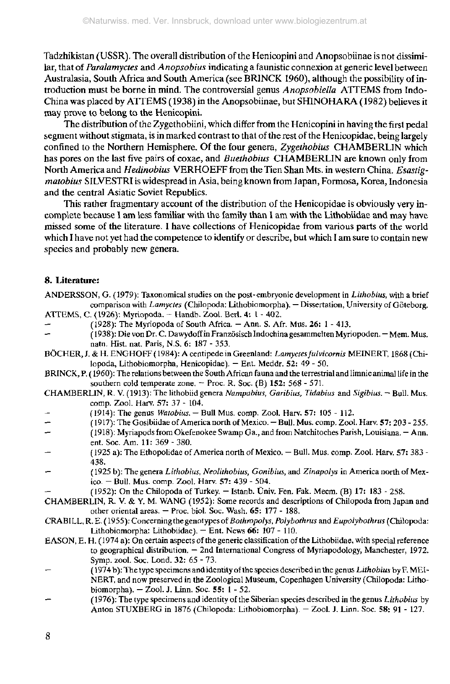Tadzhikistan (USSR). The overall distribution of the Henicopini and Anopsobiinae is not dissimilar, that of *Paralamyctes* and *Anopsobius* indicating a faunìstic connexion at generic level between Australasia, South Africa and South America (see BR1NCK 1960), although the possibility of introduction must be borne in mind. The controversial genus *Anopsobiella* ATTEMS from Indo-China was placed by ATTEMS (1938) in the Anopsobiinae, but SHINOHARA (1982) believes it may prove to belong to the Henicopini.

The distribution of the Zygethobiini, which differ from the Henicopini in having the first pedal segment without stigmata, is in marked contrast to that of the rest of the Henicopidae, being largely confined to the Northern Hemisphere. Of the four genera, *Zygethobius* CHAMBERL1N which has pores on the last five pairs of coxae, and *Buethobius* CHAMBERLIN are known only from North America and *Hedinobius* VERHOEFF from the Tien Shan Mts. in western China. *Esastigmatobius* SILVESTRI is widespread in Asia, being known from Japan, Formosa, Korea, Indonesia and the central Asiatic Soviet Republics.

This rather fragmentary account of the distribution of the Henicopidae is obviously very incomplete because 1 am less familiar with the family than 1 am with the Lithobiidae and may have missed some of the literature. I have collections of Henicopidae from various parts of the world which I have not yet had the competence to identify or describe, but which I am sure to contain new species and probably new genera.

#### **8. Literature:**

- ANDERSSON, G. (1979): Taxonomical studies on ihe post-embryonic development in *Lithobius,* with a brief comparison with *Lamyctes* (Chilopoda: Lithobiomorpha). — Dissertation, University of Göteborg. ATTEMS, C. (1926): Myriopoda. - Handb. Zool. Berl. 4: 1 - 402.
- (1928): The Myriopoda of South Africa.  $-$  Ann. S. Afr. Mus. 26: 1 413.
- ( 1938): Die von Dr. C. Dawydoffin Französisch Indochina gesammelten Myriopoden. Mem. Mus. natn. Hist. nat. Paris, N.S. 6: 187 - 353.
- BÖCHER, J. & H. ENGHOFF ( 1984): A centipede in Greenland: *Lamycies fulvicornis* MEINERT, 1868 (Chilopoda, Lithobiomorpha, Henicopidae). — Ent. Meddr. 52: 49 - 50.
- BRINCK, P. ( 1960): The relations between the South African fauna and the terrestrial and limnic animal life in the southern cold temperate zone.  $-$  Proc. R. Soc. (B) 152: 568 - 571.
- CHAMBERLIN, R. V. (1913): The lithobiid genera *Nampabius, Garibius, Tidabius* and *Sigibius*. ~ Bull. Mus. comp. Zool. Harv. 57: 37 - 104.
- (1914): The genus *Watobius. -* Bull Mus. comp. Zool. Harv. 57: 105 112.
- ( 1917): The Gosibiidae of America north of Mexico. Bull. Mus. comp. Zool. Harv. 57: 203 255.
- (1918): Myriapods from Okefenokee Swamp Ga., and from Natchitoches Parish, Louisiana. Ann.
- ent. Soc. Am. 11:369-380.
- (1925 a):TheEthopolidaeof America north of Mexico. Bull. Mus. comp. Zool. Harv. 57: 383 438.
- (1925 b): The genera *Lithobius, NeoUlhobius, Gonibius,* and *Zinapolys* in America north of Mexico.  $-$  Bull. Mus. comp. Zool. Harv.  $57: 439 - 504$ .
- $(1952)$ : On the Chilopoda of Turkey. Istanb. Üniv. Fen. Fak. Mecm.  $(B)$  17: 183 258.

CHAMBERLIN, R. V. & Y. M. WANG (1952): Some records and descriptions of Chilopoda from Japan and other oriental areas. — Proc. biol. Soc. Wash. 65: 177 - 188.

- CRABILL, R.E.( 1955): Concerningthe genotypes of *Bothropolys, Polybothrus* and *Eupolybothrus* (Chilopoda: Lithobiomorpha: Lithobiidae). — Ent. News 66: 107 - 110.
- EASON, E. H. (1974 a): On certain aspects of the generic classification of the Lithobiidae, with special reference to geographical distribution. — 2nd International Congress of Myriapodology, Manchester, 1972. Symp. zool. Soc. Lond. 32: 65 - 73.
- ( 1974 b): The type specimens and identity oí the species described in the genus *Lithobius* by F. MEI-NERT, and now preserved in the Zoological Museum, Copenhagen University (Chilopoda: Lithobiomorpha). — Zool. J. Linn. Soc. 55: 1 - 52.
- (1976): The type specimens and identity of the Siberian species described in the genus *Lithobius* by Anton STUXBERG in 1876 (Chilopoda: Lithobiomorpha). - Zool. J. Linn. Soc. 58: 91 - 127.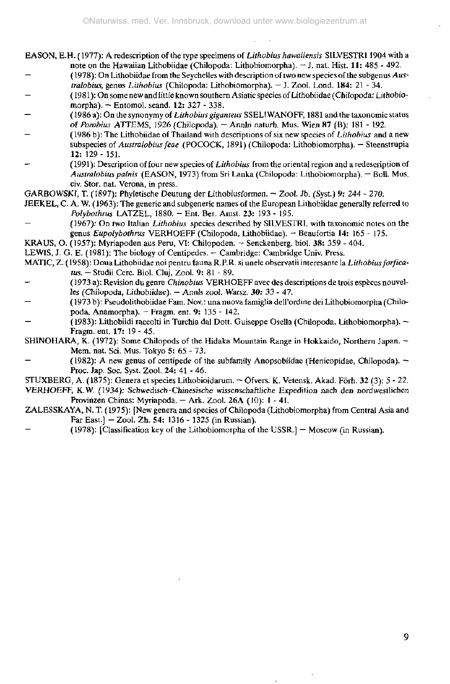- EASON, E.H. ( 1977): A redescription of the type specimens of *Lithobius hawaiiensìs* SILVESTRI 1904 with a note on the Hawaiian Lithobiidae (Chilopoda: Lithobiomorpha). - J. nat. Hist. 11: 485 - 492.
- ( 1978): On Lithobiidae from the Seychelles with description of two new species of the subgenus *Australobius,* genus *Lithobius* (Chilopoda: Lithobiomorpha). — J. Zool. Lond. **184:** 21 - 34.
- ( 1981 ): On some new and little known southern Asiatic species of Lithobiidae (Chilopoda: Lithobiomorpha). - Entomol. scand. 12: 327 - 338.
- (1986 a): On the synonymy of *Lithobius giganteas* SSELIWANOFF, 1881 and the taxonomic status of *Porobim* ATTEMS, 1926 (Chilopoda). - Annln naturh. Mus. Wien 87 (B); 181 - 192.
- ( 1986 b): The Lithobiidae of Thailand with descriptions of six new species of *Lithobius* and a new subspecies of *Australobius feae* (POCOCK, 1891) (Chilopoda: Lithobiomorpha). — Steenstrupia 12: 129- 151.
- ( 1991): Description of four new species of *Lithobius* from the oriental region and a redescription of *Australobius palnis* (EASON, 1973) from Sri Lanka (Chilopoda: Lithobiomorpha). — Boll. Mus. civ. Stör. nat. Verona, in press.
- GARBOWSKt, T. (1897): Phyietische Deutung der Lithobiusformen. Zool. Jb. (Syst.) 9: 244 270.
- JEEKEL, C. A. W. ( 1963): The generic and subgeneric names of the European Lithobiidae generally referred to *Polybothrus* LATZEL, 1880. - Ent. Ber. Amst. 23: 193 - 195.
- (1967): On two Italian *Lithobius* species described by SILVESTRI, with taxonomic notes on the genus *Eupolybothrus* VERHOEFF (Chilopoda, Lithobiidae). - Beaufortia 14: 165 - 175.
- KRAUS, O. (1957): Myriapoden aus Peru, VI: Chilopoden. Senckenberg. biol. 38: 359 404.
- LEWIS, J. G. E. (1981): The biology of Centipedes. Cambridge: Cambridge Univ. Press.
- MATIC, Z. (1958): Doua Lithobiidae noi pentru fauna R.P.R. si únele observatü interesante la *Lithobius forficatus. -* Studii Cere. Biol. Cluj, Zool. 9: 81 - 89.
- (1973 a): Revision du genre *Chinobius* VERHOEFF avec des descriptions de trois espèces nouvelles (Chilopoda, Lithobiidae). — Annls zool. Warsz. 30: 33 - 47.
- (1973 b): Pseudolithobiidae Fam. Nov.: una nuova famiglia dell'ordine dei Lithobiomorpha (Chilopoda, Anamorpha). - Fragm. ent. 9: 135 - 142.
- (1983): Lithobiìdi raccolti in Turchia dal Dott. Guiseppe Osella (Chilopoda, Lithobiomorpha). Fragm. ent. 17: 19 - 45.
- SHINOHARA, K. (1972): Some Chìlopods of the Hidaka Mountain Range in Hokkaido, Northern Japan. Mem. nat. Sei. Mus. Tokyo 5: 65 - 73.
- (1982): A new genus of centipede of the subfamily Anopsobiidae (Henicopidae, Chilopoda).  $-$ Proc. Jap. Soc. Syst. Zool. 24: 41 - 46.

STUXBERG, A. (1875): Genera et species Lilhobioidarum. - Ofvers. K. Vetensk. Akad. Förh. 32 (3): 5 - 22. VERHOEFF, K.W. (1934): Schwedisch-Chinesische wissenschaftliche Expedition nach den nordwestlichen Provinzen Chinas: Myriapoda. — Ark. Zool. 26A (10): 1 - 4L

- ZALESSKAYA, N. T. (1975): [New genera and species of Chilopoda (Lithobiomorpha) from Central Asia and Far East.] - Zool. Zh. 54: 1316 - 1325 (in Russian).
- $(1978)$ : [Classification key of the Lithobiomorpha of the USSR.] Moscow (in Russian).